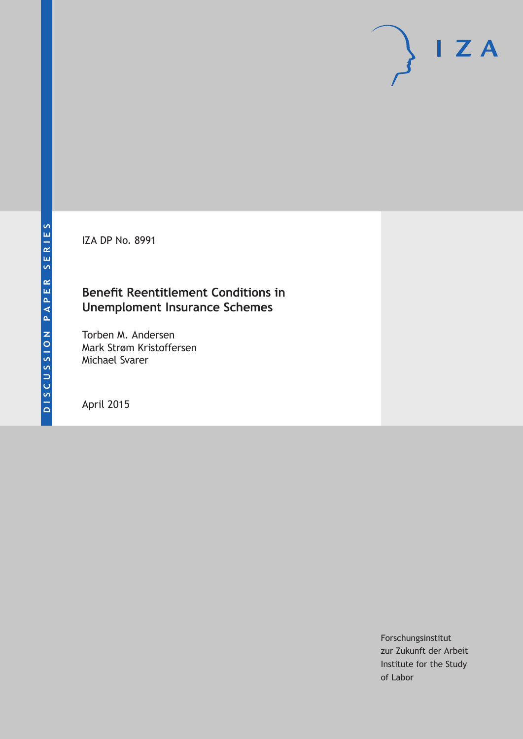IZA DP No. 8991

### **Benefit Reentitlement Conditions in Unemploment Insurance Schemes**

Torben M. Andersen Mark Strøm Kristoffersen Michael Svarer

April 2015

Forschungsinstitut zur Zukunft der Arbeit Institute for the Study of Labor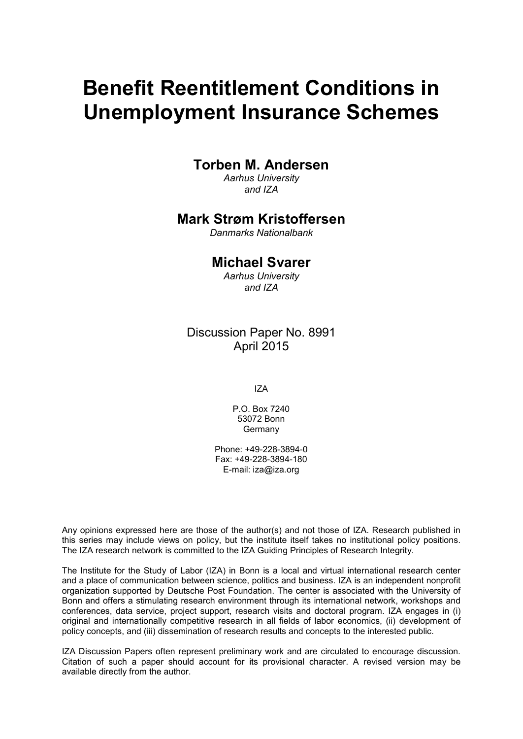# **Benefit Reentitlement Conditions in Unemployment Insurance Schemes**

### **Torben M. Andersen**

*Aarhus University and IZA*

### **Mark Strøm Kristoffersen**

*Danmarks Nationalbank*

### **Michael Svarer**

*Aarhus University and IZA*

### Discussion Paper No. 8991 April 2015

IZA

P.O. Box 7240 53072 Bonn Germany

Phone: +49-228-3894-0 Fax: +49-228-3894-180 E-mail: iza@iza.org

Any opinions expressed here are those of the author(s) and not those of IZA. Research published in this series may include views on policy, but the institute itself takes no institutional policy positions. The IZA research network is committed to the IZA Guiding Principles of Research Integrity.

The Institute for the Study of Labor (IZA) in Bonn is a local and virtual international research center and a place of communication between science, politics and business. IZA is an independent nonprofit organization supported by Deutsche Post Foundation. The center is associated with the University of Bonn and offers a stimulating research environment through its international network, workshops and conferences, data service, project support, research visits and doctoral program. IZA engages in (i) original and internationally competitive research in all fields of labor economics, (ii) development of policy concepts, and (iii) dissemination of research results and concepts to the interested public.

<span id="page-1-0"></span>IZA Discussion Papers often represent preliminary work and are circulated to encourage discussion. Citation of such a paper should account for its provisional character. A revised version may be available directly from the author.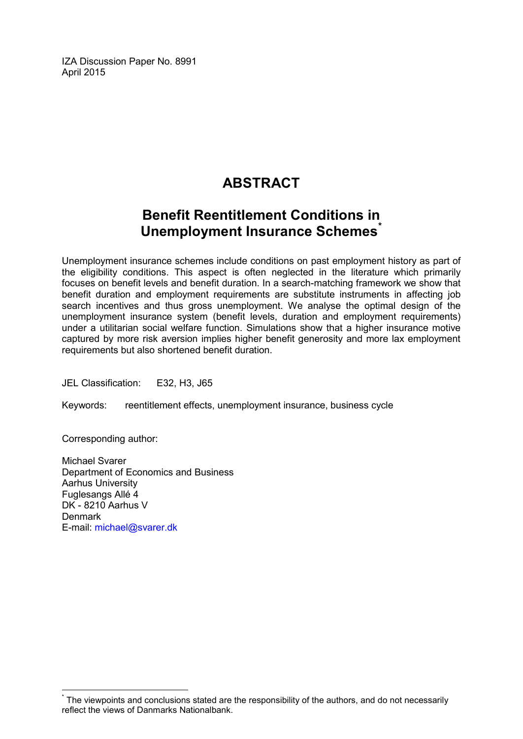IZA Discussion Paper No. 8991 April 2015

# **ABSTRACT**

## **Benefit Reentitlement Conditions in Unemployment Insurance Schemes[\\*](#page-1-0)**

Unemployment insurance schemes include conditions on past employment history as part of the eligibility conditions. This aspect is often neglected in the literature which primarily focuses on benefit levels and benefit duration. In a search-matching framework we show that benefit duration and employment requirements are substitute instruments in affecting job search incentives and thus gross unemployment. We analyse the optimal design of the unemployment insurance system (benefit levels, duration and employment requirements) under a utilitarian social welfare function. Simulations show that a higher insurance motive captured by more risk aversion implies higher benefit generosity and more lax employment requirements but also shortened benefit duration.

JEL Classification: E32, H3, J65

Keywords: reentitlement effects, unemployment insurance, business cycle

Corresponding author:

Michael Svarer Department of Economics and Business Aarhus University Fuglesangs Allé 4 DK - 8210 Aarhus V **Denmark** E-mail: [michael@svarer.dk](mailto:michael@svarer.dk)

The viewpoints and conclusions stated are the responsibility of the authors, and do not necessarily reflect the views of Danmarks Nationalbank.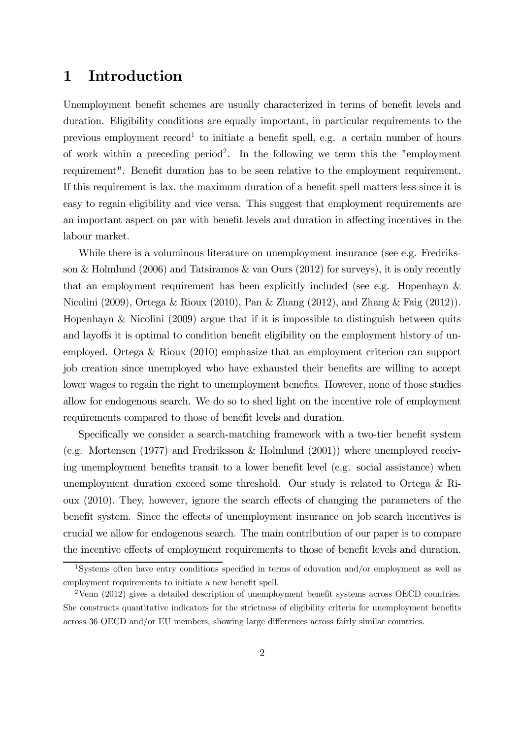### 1 Introduction

Unemployment benefit schemes are usually characterized in terms of benefit levels and duration. Eligibility conditions are equally important, in particular requirements to the previous employment record<sup>1</sup> to initiate a benefit spell, e.g. a certain number of hours of work within a preceding period<sup>2</sup> . In the following we term this the "employment requirement". Benefit duration has to be seen relative to the employment requirement. If this requirement is lax, the maximum duration of a benefit spell matters less since it is easy to regain eligibility and vice versa. This suggest that employment requirements are an important aspect on par with benefit levels and duration in affecting incentives in the labour market.

While there is a voluminous literature on unemployment insurance (see e.g. Fredriksson & Holmlund (2006) and Tatsiramos & van Ours (2012) for surveys), it is only recently that an employment requirement has been explicitly included (see e.g. Hopenhayn & Nicolini (2009), Ortega & Rioux (2010), Pan & Zhang (2012), and Zhang & Faig (2012)). Hopenhayn & Nicolini (2009) argue that if it is impossible to distinguish between quits and layoffs it is optimal to condition benefit eligibility on the employment history of unemployed. Ortega & Rioux (2010) emphasize that an employment criterion can support job creation since unemployed who have exhausted their benefits are willing to accept lower wages to regain the right to unemployment benefits. However, none of those studies allow for endogenous search. We do so to shed light on the incentive role of employment requirements compared to those of benefit levels and duration.

Specifically we consider a search-matching framework with a two-tier benefit system (e.g. Mortensen (1977) and Fredriksson & Holmlund (2001)) where unemployed receiving unemployment benefits transit to a lower benefit level (e.g. social assistance) when unemployment duration exceed some threshold. Our study is related to Ortega & Rioux (2010). They, however, ignore the search effects of changing the parameters of the benefit system. Since the effects of unemployment insurance on job search incentives is crucial we allow for endogenous search. The main contribution of our paper is to compare the incentive effects of employment requirements to those of benefit levels and duration.

<sup>1</sup>Systems often have entry conditions specified in terms of eduvation and/or employment as well as employment requirements to initiate a new benefit spell.

<sup>&</sup>lt;sup>2</sup>Venn (2012) gives a detailed description of unemployment benefit systems across OECD countries. She constructs quantitative indicators for the strictness of eligibility criteria for unemployment benefits across 36 OECD and/or EU members, showing large differences across fairly similar countries.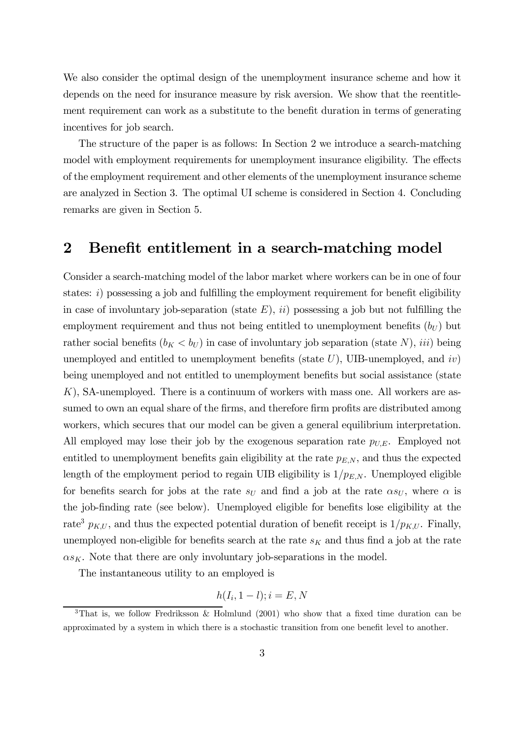We also consider the optimal design of the unemployment insurance scheme and how it depends on the need for insurance measure by risk aversion. We show that the reentitlement requirement can work as a substitute to the benefit duration in terms of generating incentives for job search.

The structure of the paper is as follows: In Section 2 we introduce a search-matching model with employment requirements for unemployment insurance eligibility. The effects of the employment requirement and other elements of the unemployment insurance scheme are analyzed in Section 3. The optimal UI scheme is considered in Section 4. Concluding remarks are given in Section 5.

### 2 Benefit entitlement in a search-matching model

Consider a search-matching model of the labor market where workers can be in one of four states:  $i)$  possessing a job and fulfilling the employment requirement for benefit eligibility in case of involuntary job-separation (state  $E$ ), ii) possessing a job but not fulfilling the employment requirement and thus not being entitled to unemployment benefits  $(b_U)$  but rather social benefits  $(b_K < b_U)$  in case of involuntary job separation (state N), *iii*) being unemployed and entitled to unemployment benefits (state  $U$ ), UIB-unemployed, and  $iv$ ) being unemployed and not entitled to unemployment benefits but social assistance (state K), SA-unemployed. There is a continuum of workers with mass one. All workers are assumed to own an equal share of the firms, and therefore firm profits are distributed among workers, which secures that our model can be given a general equilibrium interpretation. All employed may lose their job by the exogenous separation rate  $p_{U,E}$ . Employed not entitled to unemployment benefits gain eligibility at the rate  $p_{E,N}$ , and thus the expected length of the employment period to regain UIB eligibility is  $1/p_{EN}$ . Unemployed eligible for benefits search for jobs at the rate  $s_U$  and find a job at the rate  $\alpha s_U$ , where  $\alpha$  is the job-finding rate (see below). Unemployed eligible for benefits lose eligibility at the rate<sup>3</sup>  $p_{K,U}$ , and thus the expected potential duration of benefit receipt is  $1/p_{K,U}$ . Finally, unemployed non-eligible for benefits search at the rate  $s_K$  and thus find a job at the rate  $\alpha s_K$ . Note that there are only involuntary job-separations in the model.

The instantaneous utility to an employed is

$$
h(I_i, 1-l); i = E, N
$$

<sup>3</sup>That is, we follow Fredriksson & Holmlund (2001) who show that a fixed time duration can be approximated by a system in which there is a stochastic transition from one benefit level to another.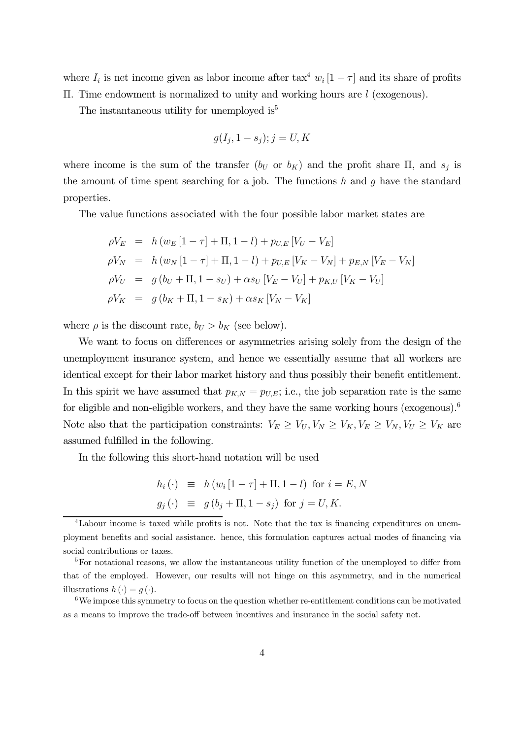where  $I_i$  is net income given as labor income after  $\text{tax}^4 w_i$  [1 –  $\tau$ ] and its share of profits Π. Time endowment is normalized to unity and working hours are l (exogenous).

The instantaneous utility for unemployed is<sup>5</sup>

$$
g(I_j, 1 - s_j); j = U, K
$$

where income is the sum of the transfer  $(b_U \text{ or } b_K)$  and the profit share  $\Pi$ , and  $s_j$  is the amount of time spent searching for a job. The functions  $h$  and  $q$  have the standard properties.

The value functions associated with the four possible labor market states are

$$
\rho V_E = h (w_E [1 - \tau] + \Pi, 1 - l) + p_{U,E} [V_U - V_E]
$$
  
\n
$$
\rho V_N = h (w_N [1 - \tau] + \Pi, 1 - l) + p_{U,E} [V_K - V_N] + p_{E,N} [V_E - V_N]
$$
  
\n
$$
\rho V_U = g (b_U + \Pi, 1 - s_U) + \alpha s_U [V_E - V_U] + p_{K,U} [V_K - V_U]
$$
  
\n
$$
\rho V_K = g (b_K + \Pi, 1 - s_K) + \alpha s_K [V_N - V_K]
$$

where  $\rho$  is the discount rate,  $b_U > b_K$  (see below).

We want to focus on differences or asymmetries arising solely from the design of the unemployment insurance system, and hence we essentially assume that all workers are identical except for their labor market history and thus possibly their benefit entitlement. In this spirit we have assumed that  $p_{K,N} = p_{U,E}$ ; i.e., the job separation rate is the same for eligible and non-eligible workers, and they have the same working hours (exogenous).<sup>6</sup> Note also that the participation constraints:  $V_E \ge V_U, V_N \ge V_K, V_E \ge V_N, V_U \ge V_K$  are assumed fulfilled in the following.

In the following this short-hand notation will be used

$$
h_i(\cdot) \equiv h(w_i[1-\tau] + \Pi, 1-l) \text{ for } i = E, N
$$
  

$$
g_j(\cdot) \equiv g(b_j + \Pi, 1-s_j) \text{ for } j = U, K.
$$

<sup>&</sup>lt;sup>4</sup>Labour income is taxed while profits is not. Note that the tax is financing expenditures on unemployment benefits and social assistance. hence, this formulation captures actual modes of financing via social contributions or taxes.

<sup>&</sup>lt;sup>5</sup>For notational reasons, we allow the instantaneous utility function of the unemployed to differ from that of the employed. However, our results will not hinge on this asymmetry, and in the numerical illustrations  $h(\cdot) = q(\cdot)$ .

 $6$ We impose this symmetry to focus on the question whether re-entitlement conditions can be motivated as a means to improve the trade-off between incentives and insurance in the social safety net.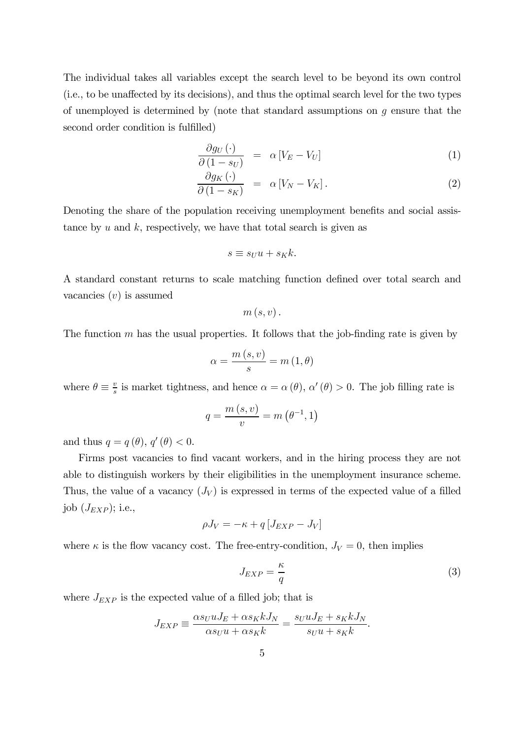The individual takes all variables except the search level to be beyond its own control (i.e., to be unaffected by its decisions), and thus the optimal search level for the two types of unemployed is determined by (note that standard assumptions on  $q$  ensure that the second order condition is fulfilled)

$$
\frac{\partial g_U(\cdot)}{\partial (1 - s_U)} = \alpha \left[ V_E - V_U \right] \tag{1}
$$

$$
\frac{\partial g_K(\cdot)}{\partial (1 - s_K)} = \alpha [V_N - V_K]. \tag{2}
$$

Denoting the share of the population receiving unemployment benefits and social assistance by  $u$  and  $k$ , respectively, we have that total search is given as

$$
s \equiv s_U u + s_K k.
$$

A standard constant returns to scale matching function defined over total search and vacancies  $(v)$  is assumed

$$
m\left( s,v\right) .
$$

The function  $m$  has the usual properties. It follows that the job-finding rate is given by

$$
\alpha = \frac{m\left(s, v\right)}{s} = m\left(1, \theta\right)
$$

where  $\theta \equiv \frac{v}{s}$  $\frac{v}{s}$  is market tightness, and hence  $\alpha = \alpha(\theta)$ ,  $\alpha'(\theta) > 0$ . The job filling rate is

$$
q = \frac{m(s, v)}{v} = m\left(\theta^{-1}, 1\right)
$$

and thus  $q = q(\theta), q'(\theta) < 0.$ 

Firms post vacancies to find vacant workers, and in the hiring process they are not able to distinguish workers by their eligibilities in the unemployment insurance scheme. Thus, the value of a vacancy  $(J_V)$  is expressed in terms of the expected value of a filled job  $(J_{EXP});$  i.e.,

$$
\rho J_V = -\kappa + q \left[ J_{EXP} - J_V \right]
$$

where  $\kappa$  is the flow vacancy cost. The free-entry-condition,  $J_V = 0$ , then implies

$$
J_{EXP} = \frac{\kappa}{q} \tag{3}
$$

where  $J_{EXP}$  is the expected value of a filled job; that is

$$
J_{EXP} \equiv \frac{\alpha s_U u J_E + \alpha s_K k J_N}{\alpha s_U u + \alpha s_K k} = \frac{s_U u J_E + s_K k J_N}{s_U u + s_K k}.
$$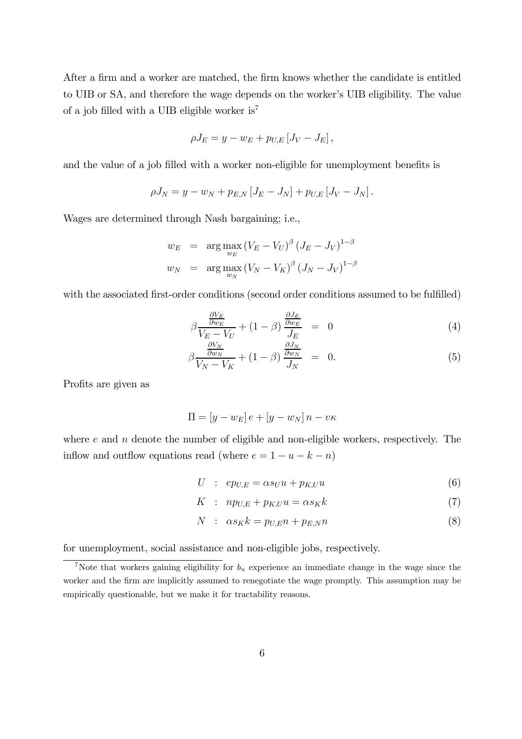After a firm and a worker are matched, the firm knows whether the candidate is entitled to UIB or SA, and therefore the wage depends on the worker's UIB eligibility. The value of a job filled with a UIB eligible worker is<sup>7</sup>

$$
\rho J_E = y - w_E + p_{U,E} [J_V - J_E],
$$

and the value of a job filled with a worker non-eligible for unemployment benefits is

$$
\rho J_N = y - w_N + p_{E,N} [J_E - J_N] + p_{U,E} [J_V - J_N].
$$

Wages are determined through Nash bargaining; i.e.,

$$
w_E = \arg \max_{w_E} (V_E - V_U)^{\beta} (J_E - J_V)^{1-\beta}
$$
  

$$
w_N = \arg \max_{w_N} (V_N - V_K)^{\beta} (J_N - J_V)^{1-\beta}
$$

with the associated first-order conditions (second order conditions assumed to be fulfilled)

$$
\beta \frac{\frac{\partial V_E}{\partial w_E}}{V_E - V_U} + (1 - \beta) \frac{\frac{\partial J_E}{\partial w_E}}{J_E} = 0
$$
\n(4)

$$
\beta \frac{\frac{\partial V_N}{\partial w_N}}{V_N - V_K} + (1 - \beta) \frac{\frac{\partial J_N}{\partial w_N}}{J_N} = 0.
$$
\n(5)

Profits are given as

$$
\Pi = [y - w_E]e + [y - w_N]n - v\kappa
$$

where  $e$  and  $n$  denote the number of eligible and non-eligible workers, respectively. The inflow and outflow equations read (where  $e = 1 - u - k - n$ )

$$
U : ep_{U,E} = \alpha s_U u + p_{K,U} u \tag{6}
$$

$$
K : np_{U,E} + p_{K,U}u = \alpha s_K k \tag{7}
$$

$$
N : \alpha s_K k = p_{U,E} n + p_{E,N} n \tag{8}
$$

for unemployment, social assistance and non-eligible jobs, respectively.

<sup>&</sup>lt;sup>7</sup>Note that workers gaining eligibility for  $b<sub>u</sub>$  experience an immediate change in the wage since the worker and the firm are implicitly assumed to renegotiate the wage promptly. This assumption may be empirically questionable, but we make it for tractability reasons.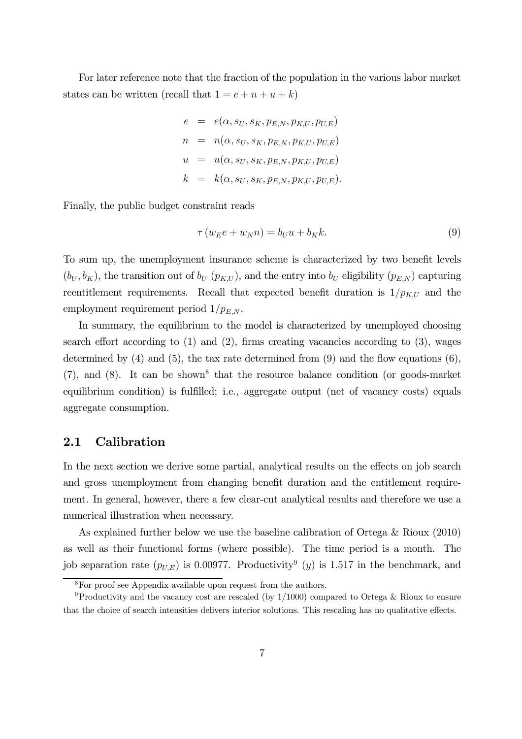For later reference note that the fraction of the population in the various labor market states can be written (recall that  $1 = e + n + u + k$ )

$$
e = e(\alpha, s_U, s_K, p_{E,N}, p_{K,U}, p_{U,E})
$$
  
\n
$$
n = n(\alpha, s_U, s_K, p_{E,N}, p_{K,U}, p_{U,E})
$$
  
\n
$$
u = u(\alpha, s_U, s_K, p_{E,N}, p_{K,U}, p_{U,E})
$$
  
\n
$$
k = k(\alpha, s_U, s_K, p_{E,N}, p_{K,U}, p_{U,E}).
$$

Finally, the public budget constraint reads

$$
\tau(w_E e + w_N n) = b_U u + b_K k. \tag{9}
$$

To sum up, the unemployment insurance scheme is characterized by two benefit levels  $(b_U, b_K)$ , the transition out of  $b_U$  ( $p_{K,U}$ ), and the entry into  $b_U$  eligibility ( $p_{E,N}$ ) capturing reentitlement requirements. Recall that expected benefit duration is  $1/p_{K,U}$  and the employment requirement period  $1/p_{E,N}$ .

In summary, the equilibrium to the model is characterized by unemployed choosing search effort according to  $(1)$  and  $(2)$ , firms creating vacancies according to  $(3)$ , wages determined by  $(4)$  and  $(5)$ , the tax rate determined from  $(9)$  and the flow equations  $(6)$ ,  $(7)$ , and  $(8)$ . It can be shown<sup>8</sup> that the resource balance condition (or goods-market equilibrium condition) is fulfilled; i.e., aggregate output (net of vacancy costs) equals aggregate consumption.

#### 2.1 Calibration

In the next section we derive some partial, analytical results on the effects on job search and gross unemployment from changing benefit duration and the entitlement requirement. In general, however, there a few clear-cut analytical results and therefore we use a numerical illustration when necessary.

As explained further below we use the baseline calibration of Ortega & Rioux (2010) as well as their functional forms (where possible). The time period is a month. The job separation rate  $(p_{U,E})$  is 0.00977. Productivity<sup>9</sup> (y) is 1.517 in the benchmark, and

 ${}^{8}{\rm For}$  proof see Appendix available upon request from the authors.

<sup>&</sup>lt;sup>9</sup>Productivity and the vacancy cost are rescaled (by  $1/1000$ ) compared to Ortega & Rioux to ensure that the choice of search intensities delivers interior solutions. This rescaling has no qualitative effects.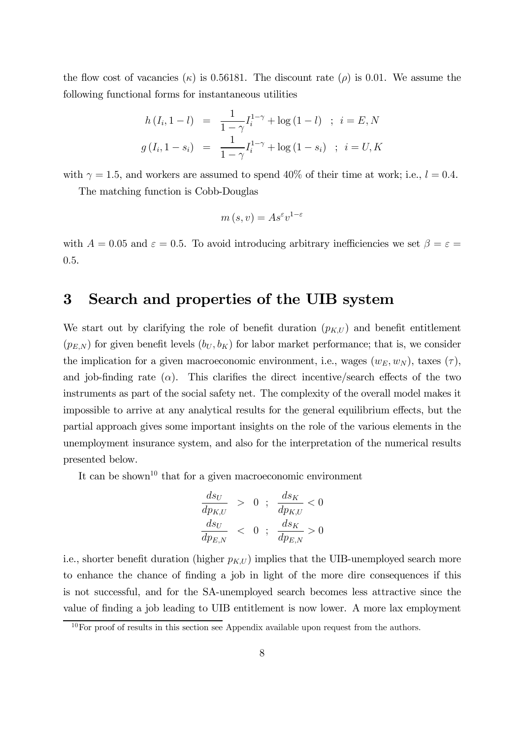the flow cost of vacancies  $(\kappa)$  is 0.56181. The discount rate ( $\rho$ ) is 0.01. We assume the following functional forms for instantaneous utilities

$$
h(I_i, 1 - l) = \frac{1}{1 - \gamma} I_i^{1 - \gamma} + \log(1 - l) \quad ; \quad i = E, N
$$
  

$$
g(I_i, 1 - s_i) = \frac{1}{1 - \gamma} I_i^{1 - \gamma} + \log(1 - s_i) \quad ; \quad i = U, K
$$

with  $\gamma = 1.5$ , and workers are assumed to spend 40% of their time at work; i.e.,  $l = 0.4$ .

The matching function is Cobb-Douglas

$$
m(s, v) = A s^{\varepsilon} v^{1-\varepsilon}
$$

with  $A = 0.05$  and  $\varepsilon = 0.5$ . To avoid introducing arbitrary inefficiencies we set  $\beta = \varepsilon =$ 0.5.

### 3 Search and properties of the UIB system

We start out by clarifying the role of benefit duration  $(p_{K,U})$  and benefit entitlement  $(p_{E,N})$  for given benefit levels  $(b_U, b_K)$  for labor market performance; that is, we consider the implication for a given macroeconomic environment, i.e., wages  $(w_E, w_N)$ , taxes  $(\tau)$ , and job-finding rate ( $\alpha$ ). This clarifies the direct incentive/search effects of the two instruments as part of the social safety net. The complexity of the overall model makes it impossible to arrive at any analytical results for the general equilibrium effects, but the partial approach gives some important insights on the role of the various elements in the unemployment insurance system, and also for the interpretation of the numerical results presented below.

It can be shown<sup>10</sup> that for a given macroeconomic environment

$$
\begin{array}{rcl}\n\frac{ds_U}{dp_{K,U}} > 0; & \frac{ds_K}{dp_{K,U}} < 0 \\
\frac{ds_U}{dp_{E,N}} < 0; & \frac{ds_K}{dp_{E,N}} > 0\n\end{array}
$$

i.e., shorter benefit duration (higher  $p_{K,U}$ ) implies that the UIB-unemployed search more to enhance the chance of finding a job in light of the more dire consequences if this is not successful, and for the SA-unemployed search becomes less attractive since the value of finding a job leading to UIB entitlement is now lower. A more lax employment

 $10$ For proof of results in this section see Appendix available upon request from the authors.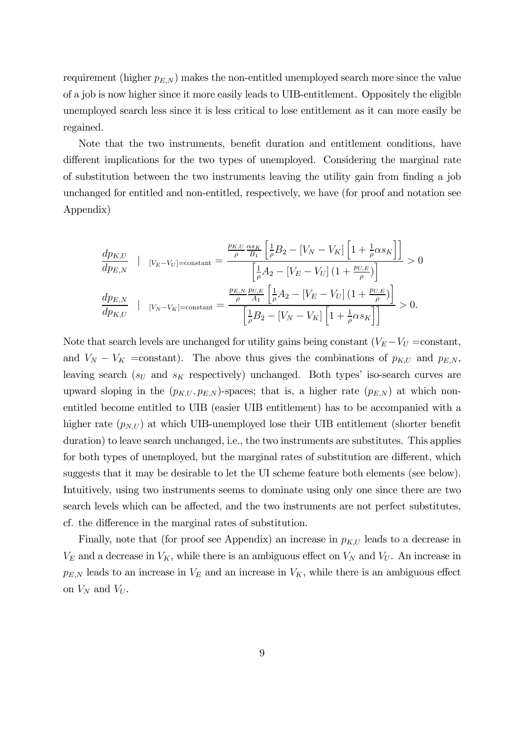requirement (higher  $p_{E,N}$ ) makes the non-entitled unemployed search more since the value of a job is now higher since it more easily leads to UIB-entitlement. Oppositely the eligible unemployed search less since it is less critical to lose entitlement as it can more easily be regained.

Note that the two instruments, benefit duration and entitlement conditions, have different implications for the two types of unemployed. Considering the marginal rate of substitution between the two instruments leaving the utility gain from finding a job unchanged for entitled and non-entitled, respectively, we have (for proof and notation see Appendix)

$$
\frac{dp_{K,U}}{dp_{E,N}} \quad | \quad [v_E - v_U] = \text{constant} = \frac{\frac{p_{K,U}}{\rho} \frac{\alpha_{S_K}}{B_1} \left[ \frac{1}{\rho} B_2 - \left[ V_N - V_K \right] \left[ 1 + \frac{1}{\rho} \alpha_{S_K} \right] \right]}{\left[ \frac{1}{\rho} A_2 - \left[ V_E - V_U \right] \left( 1 + \frac{p_{U,E}}{\rho} \right) \right]} > 0
$$
\n
$$
\frac{dp_{E,N}}{dp_{K,U}} \quad | \quad [v_N - v_K] = \text{constant} = \frac{\frac{p_{E,N}}{\rho} \frac{p_{U,E}}{A_1} \left[ \frac{1}{\rho} A_2 - \left[ V_E - V_U \right] \left( 1 + \frac{p_{U,E}}{\rho} \right) \right]}{\left[ \frac{1}{\rho} B_2 - \left[ V_N - V_K \right] \left[ 1 + \frac{1}{\rho} \alpha_{S_K} \right] \right]} > 0.
$$

Note that search levels are unchanged for utility gains being constant ( $V_E - V_U = constant$ , and  $V_N - V_K$  =constant). The above thus gives the combinations of  $p_{K,U}$  and  $p_{E,N}$ , leaving search ( $s_U$  and  $s_K$  respectively) unchanged. Both types' iso-search curves are upward sloping in the  $(p_{K,U}, p_{E,N})$ -spaces; that is, a higher rate  $(p_{E,N})$  at which nonentitled become entitled to UIB (easier UIB entitlement) has to be accompanied with a higher rate  $(p_{N,U})$  at which UIB-unemployed lose their UIB entitlement (shorter benefit duration) to leave search unchanged, i.e., the two instruments are substitutes. This applies for both types of unemployed, but the marginal rates of substitution are different, which suggests that it may be desirable to let the UI scheme feature both elements (see below). Intuitively, using two instruments seems to dominate using only one since there are two search levels which can be affected, and the two instruments are not perfect substitutes, cf. the difference in the marginal rates of substitution.

Finally, note that (for proof see Appendix) an increase in  $p_{K,U}$  leads to a decrease in  $V_E$  and a decrease in  $V_K$ , while there is an ambiguous effect on  $V_N$  and  $V_U$ . An increase in  $p_{E,N}$  leads to an increase in  $V_E$  and an increase in  $V_K$ , while there is an ambiguous effect on  $V_N$  and  $V_U$ .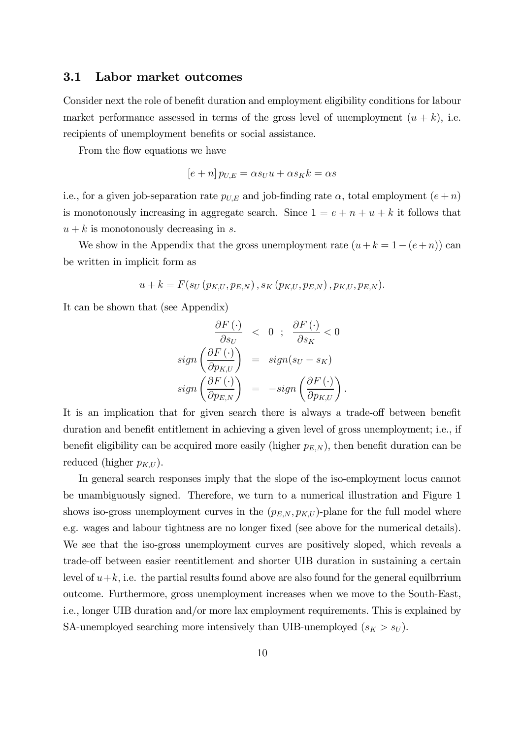#### 3.1 Labor market outcomes

Consider next the role of benefit duration and employment eligibility conditions for labour market performance assessed in terms of the gross level of unemployment  $(u + k)$ , i.e. recipients of unemployment benefits or social assistance.

From the flow equations we have

$$
[e+n] p_{U,E} = \alpha s_U u + \alpha s_K k = \alpha s
$$

i.e., for a given job-separation rate  $p_{U,E}$  and job-finding rate  $\alpha$ , total employment  $(e+n)$ is monotonously increasing in aggregate search. Since  $1 = e + n + u + k$  it follows that  $u + k$  is monotonously decreasing in s.

We show in the Appendix that the gross unemployment rate  $(u + k = 1 - (e + n))$  can be written in implicit form as

$$
u + k = F(s_U(p_{K,U}, p_{E,N}), s_K(p_{K,U}, p_{E,N}), p_{K,U}, p_{E,N}).
$$

It can be shown that (see Appendix)

$$
\frac{\partial F(\cdot)}{\partial s_U} < 0 \; ; \; \frac{\partial F(\cdot)}{\partial s_K} < 0
$$
\n
$$
\text{sign}\left(\frac{\partial F(\cdot)}{\partial p_{K,U}}\right) = \text{sign}(s_U - s_K)
$$
\n
$$
\text{sign}\left(\frac{\partial F(\cdot)}{\partial p_{E,N}}\right) = -\text{sign}\left(\frac{\partial F(\cdot)}{\partial p_{K,U}}\right).
$$

It is an implication that for given search there is always a trade-off between benefit duration and benefit entitlement in achieving a given level of gross unemployment; i.e., if benefit eligibility can be acquired more easily (higher  $p_{E,N}$ ), then benefit duration can be reduced (higher  $p_{K,U}$ ).

In general search responses imply that the slope of the iso-employment locus cannot be unambiguously signed. Therefore, we turn to a numerical illustration and Figure 1 shows iso-gross unemployment curves in the  $(p_{E,N}, p_{K,U})$ -plane for the full model where e.g. wages and labour tightness are no longer fixed (see above for the numerical details). We see that the iso-gross unemployment curves are positively sloped, which reveals a trade-off between easier reentitlement and shorter UIB duration in sustaining a certain level of  $u+k$ , i.e. the partial results found above are also found for the general equilbrrium outcome. Furthermore, gross unemployment increases when we move to the South-East, i.e., longer UIB duration and/or more lax employment requirements. This is explained by SA-unemployed searching more intensively than UIB-unemployed  $(s_K > s_U)$ .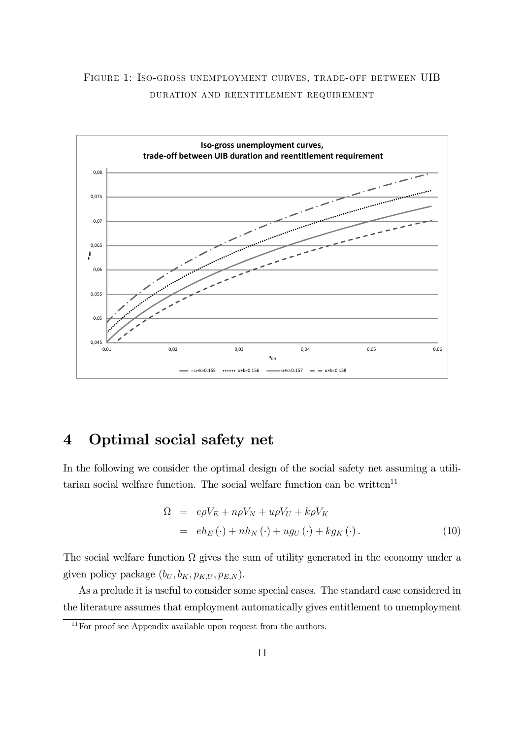



### 4 Optimal social safety net

In the following we consider the optimal design of the social safety net assuming a utilitarian social welfare function. The social welfare function can be written<sup>11</sup>

$$
\Omega = e\rho V_E + n\rho V_N + u\rho V_U + k\rho V_K
$$
  
=  $eh_E(\cdot) + nh_N(\cdot) + u g_U(\cdot) + k g_K(\cdot).$  (10)

The social welfare function  $\Omega$  gives the sum of utility generated in the economy under a given policy package  $(b_U, b_K, p_{K,U}, p_{E,N}).$ 

As a prelude it is useful to consider some special cases. The standard case considered in the literature assumes that employment automatically gives entitlement to unemployment

 $11$  For proof see Appendix available upon request from the authors.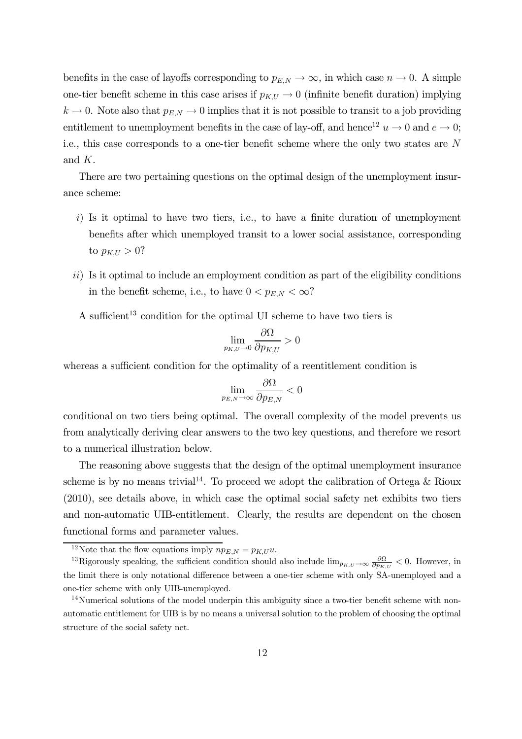benefits in the case of layoffs corresponding to  $p_{E,N} \to \infty$ , in which case  $n \to 0$ . A simple one-tier benefit scheme in this case arises if  $p_{K,U} \to 0$  (infinite benefit duration) implying  $k \to 0$ . Note also that  $p_{E,N} \to 0$  implies that it is not possible to transit to a job providing entitlement to unemployment benefits in the case of lay-off, and hence<sup>12</sup>  $u \to 0$  and  $e \to 0$ ; i.e., this case corresponds to a one-tier benefit scheme where the only two states are N and K.

There are two pertaining questions on the optimal design of the unemployment insurance scheme:

- $i)$  Is it optimal to have two tiers, i.e., to have a finite duration of unemployment benefits after which unemployed transit to a lower social assistance, corresponding to  $p_{K,U} > 0$ ?
- ii) Is it optimal to include an employment condition as part of the eligibility conditions in the benefit scheme, i.e., to have  $0 < p_{E,N} < \infty$ ?

A sufficient<sup>13</sup> condition for the optimal UI scheme to have two tiers is

$$
\lim_{p_{K,U}\to 0}\frac{\partial\Omega}{\partial p_{K,U}}>0
$$

whereas a sufficient condition for the optimality of a reentitlement condition is

$$
\lim_{p_{E,N}\rightarrow\infty}\frac{\partial\Omega}{\partial p_{E,N}}<0
$$

conditional on two tiers being optimal. The overall complexity of the model prevents us from analytically deriving clear answers to the two key questions, and therefore we resort to a numerical illustration below.

The reasoning above suggests that the design of the optimal unemployment insurance scheme is by no means trivial<sup>14</sup>. To proceed we adopt the calibration of Ortega & Rioux (2010), see details above, in which case the optimal social safety net exhibits two tiers and non-automatic UIB-entitlement. Clearly, the results are dependent on the chosen functional forms and parameter values.

<sup>&</sup>lt;sup>12</sup>Note that the flow equations imply  $np_{E,N} = p_{K,U} u$ .

<sup>&</sup>lt;sup>13</sup>Rigorously speaking, the sufficient condition should also include  $\lim_{p_{K,U}\to\infty}\frac{\partial\Omega}{\partial p_{K,U}} < 0$ . However, in the limit there is only notational difference between a one-tier scheme with only SA-unemployed and a one-tier scheme with only UIB-unemployed.

<sup>&</sup>lt;sup>14</sup>Numerical solutions of the model underpin this ambiguity since a two-tier benefit scheme with nonautomatic entitlement for UIB is by no means a universal solution to the problem of choosing the optimal structure of the social safety net.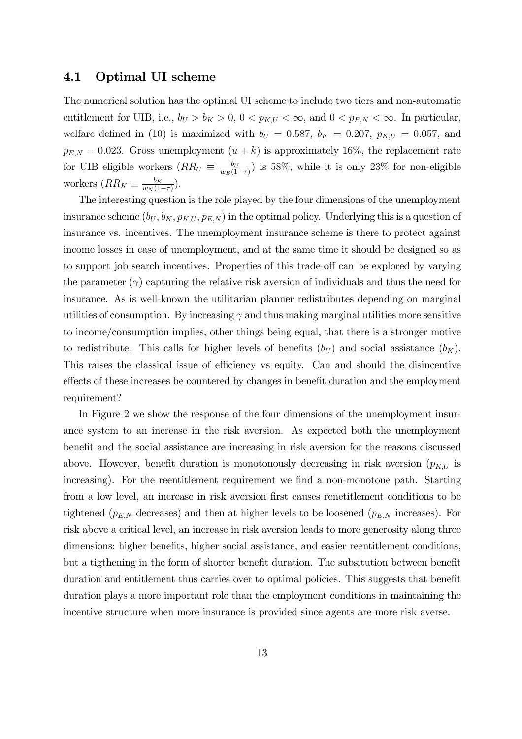#### 4.1 Optimal UI scheme

The numerical solution has the optimal UI scheme to include two tiers and non-automatic entitlement for UIB, i.e.,  $b_U > b_K > 0$ ,  $0 < p_{K,U} < \infty$ , and  $0 < p_{E,N} < \infty$ . In particular, welfare defined in (10) is maximized with  $b_U = 0.587$ ,  $b_K = 0.207$ ,  $p_{K,U} = 0.057$ , and  $p_{E,N} = 0.023$ . Gross unemployment  $(u + k)$  is approximately 16%, the replacement rate for UIB eligible workers  $(RR_U \equiv \frac{b_U}{w_E(1-\tau)})$  is 58%, while it is only 23% for non-eligible workers  $(RR_K \equiv \frac{b_K}{w_N(1-\tau)})$ .

The interesting question is the role played by the four dimensions of the unemployment insurance scheme  $(b_U, b_K, p_{K,U}, p_{E,N})$  in the optimal policy. Underlying this is a question of insurance vs. incentives. The unemployment insurance scheme is there to protect against income losses in case of unemployment, and at the same time it should be designed so as to support job search incentives. Properties of this trade-off can be explored by varying the parameter  $(\gamma)$  capturing the relative risk aversion of individuals and thus the need for insurance. As is well-known the utilitarian planner redistributes depending on marginal utilities of consumption. By increasing  $\gamma$  and thus making marginal utilities more sensitive to income/consumption implies, other things being equal, that there is a stronger motive to redistribute. This calls for higher levels of benefits  $(b_U)$  and social assistance  $(b_K)$ . This raises the classical issue of efficiency vs equity. Can and should the disincentive effects of these increases be countered by changes in benefit duration and the employment requirement?

In Figure 2 we show the response of the four dimensions of the unemployment insurance system to an increase in the risk aversion. As expected both the unemployment benefit and the social assistance are increasing in risk aversion for the reasons discussed above. However, benefit duration is monotonously decreasing in risk aversion  $(p_{K,U})$  is increasing). For the reentitlement requirement we find a non-monotone path. Starting from a low level, an increase in risk aversion first causes renetitlement conditions to be tightened ( $p_{E,N}$  decreases) and then at higher levels to be loosened ( $p_{E,N}$  increases). For risk above a critical level, an increase in risk aversion leads to more generosity along three dimensions; higher benefits, higher social assistance, and easier reentitlement conditions, but a tigthening in the form of shorter benefit duration. The subsitution between benefit duration and entitlement thus carries over to optimal policies. This suggests that benefit duration plays a more important role than the employment conditions in maintaining the incentive structure when more insurance is provided since agents are more risk averse.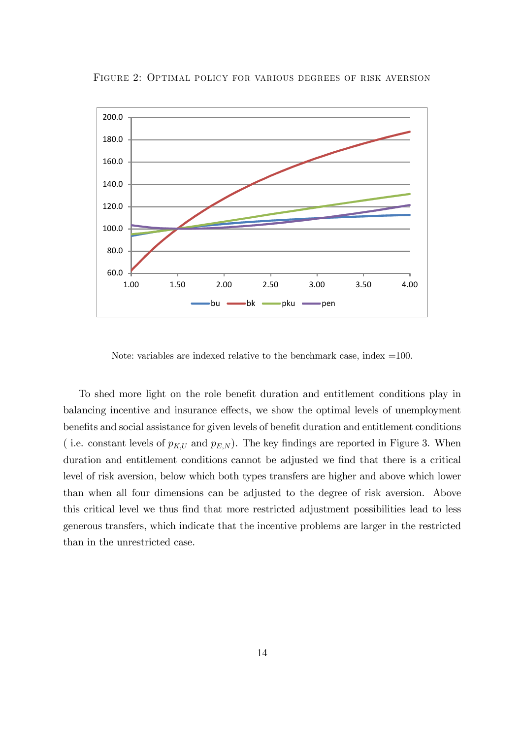

FIGURE 2: OPTIMAL POLICY FOR VARIOUS DEGREES OF RISK AVERSION

Note: variables are indexed relative to the benchmark case, index  $=100$ .

To shed more light on the role benefit duration and entitlement conditions play in balancing incentive and insurance effects, we show the optimal levels of unemployment benefits and social assistance for given levels of benefit duration and entitlement conditions ( i.e. constant levels of  $p_{K,U}$  and  $p_{E,N}$ ). The key findings are reported in Figure 3. When duration and entitlement conditions cannot be adjusted we find that there is a critical level of risk aversion, below which both types transfers are higher and above which lower than when all four dimensions can be adjusted to the degree of risk aversion. Above this critical level we thus find that more restricted adjustment possibilities lead to less generous transfers, which indicate that the incentive problems are larger in the restricted than in the unrestricted case.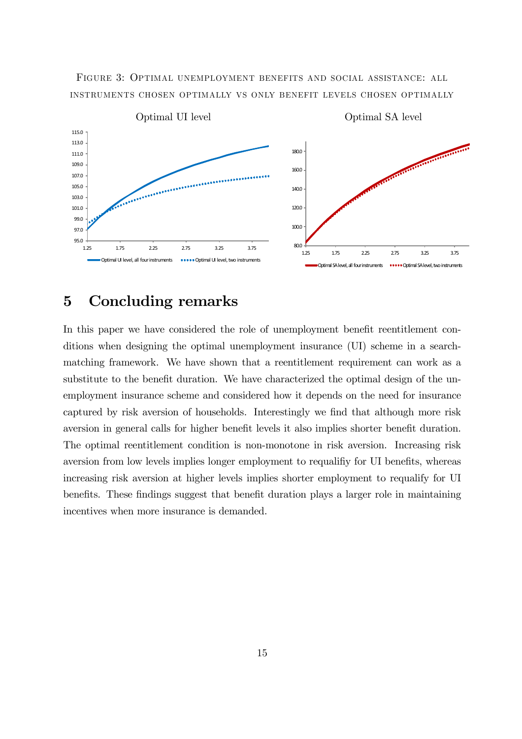

80.0

1.25 1.75 2.25 2.75 3.25 3.75 Dptimal SA level, all four instruments **December 19** Optimal SA level, two instruments

100.0

120.0



### 5 Concluding remarks

1.25 1.75 2.25 2.75 3.25 3.75 Optimal UI level, all four instruments **..............** Optimal UI level, two instruments

95.0 97.0 99.0 101.0 103.0

In this paper we have considered the role of unemployment benefit reentitlement conditions when designing the optimal unemployment insurance (UI) scheme in a searchmatching framework. We have shown that a reentitlement requirement can work as a substitute to the benefit duration. We have characterized the optimal design of the unemployment insurance scheme and considered how it depends on the need for insurance captured by risk aversion of households. Interestingly we find that although more risk aversion in general calls for higher benefit levels it also implies shorter benefit duration. The optimal reentitlement condition is non-monotone in risk aversion. Increasing risk aversion from low levels implies longer employment to requalifiy for UI benefits, whereas increasing risk aversion at higher levels implies shorter employment to requalify for UI benefits. These findings suggest that benefit duration plays a larger role in maintaining incentives when more insurance is demanded.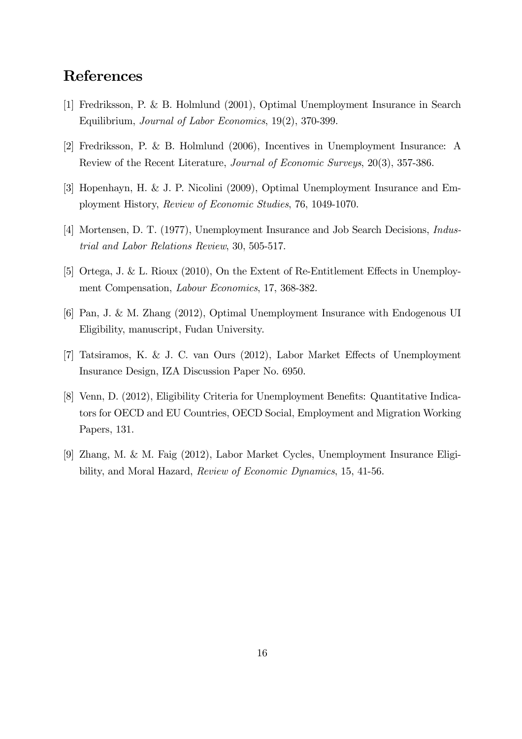### References

- [1] Fredriksson, P. & B. Holmlund (2001), Optimal Unemployment Insurance in Search Equilibrium, Journal of Labor Economics, 19(2), 370-399.
- [2] Fredriksson, P. & B. Holmlund (2006), Incentives in Unemployment Insurance: A Review of the Recent Literature, Journal of Economic Surveys, 20(3), 357-386.
- [3] Hopenhayn, H. & J. P. Nicolini (2009), Optimal Unemployment Insurance and Employment History, Review of Economic Studies, 76, 1049-1070.
- [4] Mortensen, D. T. (1977), Unemployment Insurance and Job Search Decisions, Industrial and Labor Relations Review, 30, 505-517.
- [5] Ortega, J. & L. Rioux (2010), On the Extent of Re-Entitlement Effects in Unemployment Compensation, Labour Economics, 17, 368-382.
- [6] Pan, J. & M. Zhang (2012), Optimal Unemployment Insurance with Endogenous UI Eligibility, manuscript, Fudan University.
- [7] Tatsiramos, K. & J. C. van Ours (2012), Labor Market Effects of Unemployment Insurance Design, IZA Discussion Paper No. 6950.
- [8] Venn, D. (2012), Eligibility Criteria for Unemployment Benefits: Quantitative Indicators for OECD and EU Countries, OECD Social, Employment and Migration Working Papers, 131.
- [9] Zhang, M. & M. Faig (2012), Labor Market Cycles, Unemployment Insurance Eligibility, and Moral Hazard, Review of Economic Dynamics, 15, 41-56.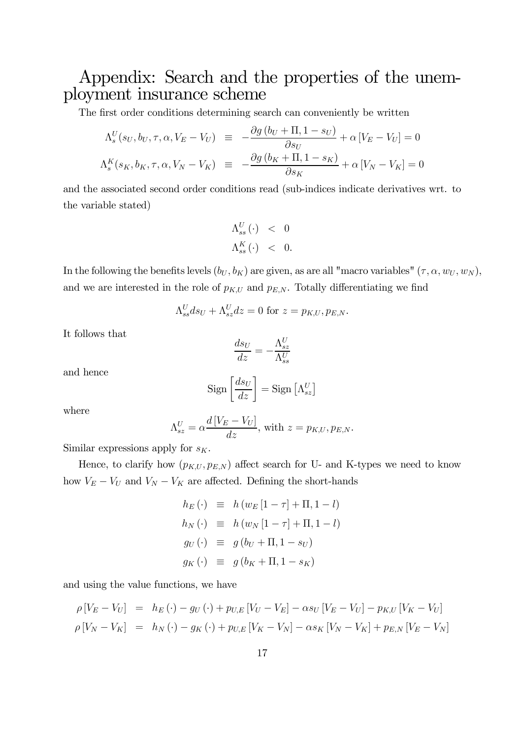# Appendix: Search and the properties of the unemployment insurance scheme

The first order conditions determining search can conveniently be written

$$
\Lambda_s^U(s_U, b_U, \tau, \alpha, V_E - V_U) \equiv -\frac{\partial g (b_U + \Pi, 1 - s_U)}{\partial s_U} + \alpha [V_E - V_U] = 0
$$
  

$$
\Lambda_s^K(s_K, b_K, \tau, \alpha, V_N - V_K) \equiv -\frac{\partial g (b_K + \Pi, 1 - s_K)}{\partial s_K} + \alpha [V_N - V_K] = 0
$$

and the associated second order conditions read (sub-indices indicate derivatives wrt. to the variable stated)

$$
\Lambda_{ss}^U(\cdot) \quad < \quad 0 \\
\Lambda_{ss}^K(\cdot) \quad < \quad 0.
$$

In the following the benefits levels  $(b_U, b_K)$  are given, as are all "macro variables"  $(\tau, \alpha, w_U, w_N)$ , and we are interested in the role of  $p_{K,U}$  and  $p_{E,N}$ . Totally differentiating we find

$$
\Lambda_{ss}^U ds_U + \Lambda_{sz}^U dz = 0
$$
 for  $z = p_{K,U}, p_{E,N}$ .

It follows that

$$
\frac{ds_U}{dz} = -\frac{\Lambda_{sz}^U}{\Lambda_{ss}^U}
$$

and hence

$$
Sign\left[\frac{ds_U}{dz}\right] = Sign\left[\Lambda_{sz}^U\right]
$$

where

$$
\Lambda_{sz}^U = \alpha \frac{d[V_E - V_U]}{dz}
$$
, with  $z = p_{K,U}, p_{E,N}$ .

Similar expressions apply for  $s_K$ .

Hence, to clarify how  $(p_{K,U}, p_{E,N})$  affect search for U- and K-types we need to know how  $V_E - V_U$  and  $V_N - V_K$  are affected. Defining the short-hands

$$
h_E(\cdot) \equiv h(w_E[1-\tau] + \Pi, 1-l)
$$
  
\n
$$
h_N(\cdot) \equiv h(w_N[1-\tau] + \Pi, 1-l)
$$
  
\n
$$
g_U(\cdot) \equiv g(b_U + \Pi, 1 - s_U)
$$
  
\n
$$
g_K(\cdot) \equiv g(b_K + \Pi, 1 - s_K)
$$

and using the value functions, we have

$$
\rho \left[ V_E - V_U \right] = h_E(\cdot) - g_U(\cdot) + p_{U,E} \left[ V_U - V_E \right] - \alpha s_U \left[ V_E - V_U \right] - p_{K,U} \left[ V_K - V_U \right] \n\rho \left[ V_N - V_K \right] = h_N(\cdot) - g_K(\cdot) + p_{U,E} \left[ V_K - V_N \right] - \alpha s_K \left[ V_N - V_K \right] + p_{E,N} \left[ V_E - V_N \right]
$$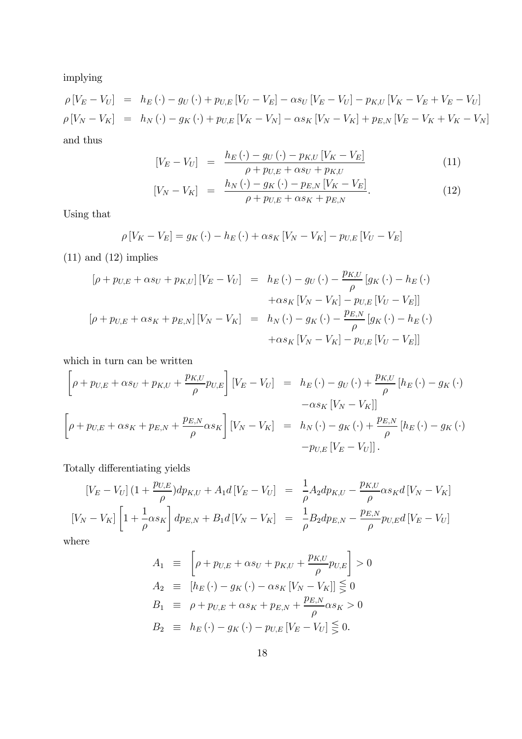implying

$$
\rho \left[ V_E - V_U \right] = h_E(\cdot) - g_U(\cdot) + p_{U,E} \left[ V_U - V_E \right] - \alpha s_U \left[ V_E - V_U \right] - p_{K,U} \left[ V_K - V_E + V_E - V_U \right] \n\rho \left[ V_N - V_K \right] = h_N(\cdot) - g_K(\cdot) + p_{U,E} \left[ V_K - V_N \right] - \alpha s_K \left[ V_N - V_K \right] + p_{E,N} \left[ V_E - V_K + V_K - V_N \right]
$$

and thus

$$
[V_E - V_U] = \frac{h_E(\cdot) - g_U(\cdot) - p_{K,U}[V_K - V_E]}{\rho + p_{U,E} + \alpha s_U + p_{K,U}} \tag{11}
$$

$$
[V_N - V_K] = \frac{h_N(\cdot) - g_K(\cdot) - p_{E,N} [V_K - V_E]}{\rho + p_{U,E} + \alpha s_K + p_{E,N}}.
$$
 (12)

Using that

$$
\rho[V_K - V_E] = g_K(\cdot) - h_E(\cdot) + \alpha s_K[V_N - V_K] - p_{U,E}[V_U - V_E]
$$

 $(11)$  and  $(12)$  implies

$$
[\rho + p_{U,E} + \alpha s_U + p_{K,U}] [V_E - V_U] = h_E(\cdot) - g_U(\cdot) - \frac{p_{K,U}}{\rho} [g_K(\cdot) - h_E(\cdot)
$$

$$
+ \alpha s_K [V_N - V_K] - p_{U,E} [V_U - V_E]]
$$

$$
[\rho + p_{U,E} + \alpha s_K + p_{E,N}] [V_N - V_K] = h_N(\cdot) - g_K(\cdot) - \frac{p_{E,N}}{\rho} [g_K(\cdot) - h_E(\cdot)
$$

$$
+ \alpha s_K [V_N - V_K] - p_{U,E} [V_U - V_E]]
$$

which in turn can be written

$$
\left[\rho + p_{U,E} + \alpha s_U + p_{K,U} + \frac{p_{K,U}}{\rho} p_{U,E}\right] \left[V_E - V_U\right] = h_E(\cdot) - g_U(\cdot) + \frac{p_{K,U}}{\rho} \left[h_E(\cdot) - g_K(\cdot) - q_{K,U}\right]
$$

$$
- \alpha s_K \left[V_N - V_K\right]
$$

$$
\left[\rho + p_{U,E} + \alpha s_K + p_{E,N} + \frac{p_{E,N}}{\rho} \alpha s_K\right] \left[V_N - V_K\right] = h_N(\cdot) - g_K(\cdot) + \frac{p_{E,N}}{\rho} \left[h_E(\cdot) - g_K(\cdot) - q_{K,U}\right]
$$

$$
- p_{U,E} \left[V_E - V_U\right].
$$

Totally differentiating yields

$$
[V_E - V_U] (1 + \frac{p_{U,E}}{\rho}) dp_{K,U} + A_1 d [V_E - V_U] = \frac{1}{\rho} A_2 dp_{K,U} - \frac{p_{K,U}}{\rho} \alpha s_K d [V_N - V_K]
$$
  

$$
[V_N - V_K] \left[ 1 + \frac{1}{\rho} \alpha s_K \right] dp_{E,N} + B_1 d [V_N - V_K] = \frac{1}{\rho} B_2 dp_{E,N} - \frac{p_{E,N}}{\rho} p_{U,E} d [V_E - V_U]
$$

where

$$
A_1 \equiv \left[ \rho + p_{U,E} + \alpha s_U + p_{K,U} + \frac{p_{K,U}}{\rho} p_{U,E} \right] > 0
$$
  
\n
$$
A_2 \equiv \left[ h_E(\cdot) - g_K(\cdot) - \alpha s_K \left[ V_N - V_K \right] \right] \leq 0
$$
  
\n
$$
B_1 \equiv \rho + p_{U,E} + \alpha s_K + p_{E,N} + \frac{p_{E,N}}{\rho} \alpha s_K > 0
$$
  
\n
$$
B_2 \equiv h_E(\cdot) - g_K(\cdot) - p_{U,E} \left[ V_E - V_U \right] \leq 0.
$$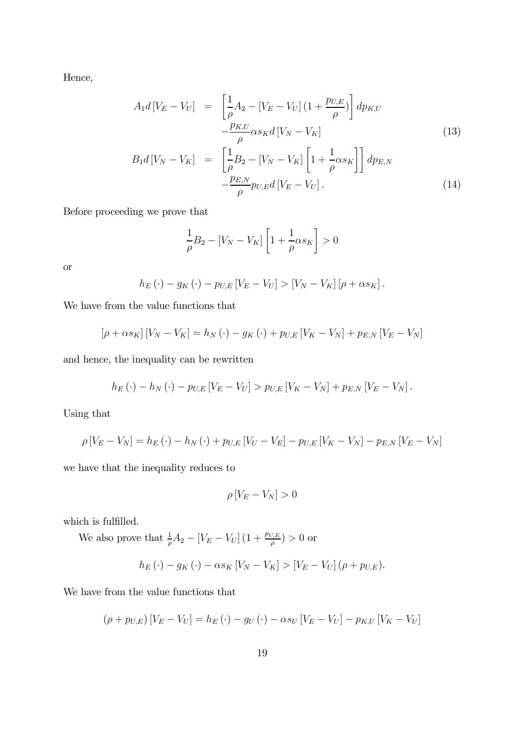Hence,

$$
A_1 d \left[ V_E - V_U \right] = \left[ \frac{1}{\rho} A_2 - \left[ V_E - V_U \right] \left( 1 + \frac{p_{U,E}}{\rho} \right) \right] dp_{K,U}
$$
\n
$$
- \frac{p_{K,U}}{\rho} \alpha s_K d \left[ V_N - V_K \right] \tag{13}
$$
\n
$$
P^{-1}[V] = V \left[ 1 - \left[ V - V_U \right] \left[ 1 + \frac{1}{\rho} \right] \right],
$$

$$
B_1 d \left[ V_N - V_K \right] = \left[ \frac{1}{\rho} B_2 - \left[ V_N - V_K \right] \left[ 1 + \frac{1}{\rho} \alpha s_K \right] \right] dp_{E,N} - \frac{p_{E,N}}{\rho} p_{U,E} d \left[ V_E - V_U \right].
$$
 (14)

Before proceeding we prove that

$$
\frac{1}{\rho}B_2 - [V_N - V_K] \left[ 1 + \frac{1}{\rho} \alpha s_K \right] > 0
$$

or

$$
h_E(\cdot) - g_K(\cdot) - p_{U,E}[V_E - V_U] > [V_N - V_K][\rho + \alpha s_K].
$$

We have from the value functions that

$$
[\rho + \alpha s_K] [V_N - V_K] = h_N (\cdot) - g_K (\cdot) + p_{U,E} [V_K - V_N] + p_{E,N} [V_E - V_N]
$$

and hence, the inequality can be rewritten

$$
h_E(\cdot) - h_N(\cdot) - p_{U,E}[V_E - V_U] > p_{U,E}[V_K - V_N] + p_{E,N}[V_E - V_N].
$$

Using that

$$
\rho \left[ V_E - V_N \right] = h_E \left( \cdot \right) - h_N \left( \cdot \right) + p_{U,E} \left[ V_U - V_E \right] - p_{U,E} \left[ V_K - V_N \right] - p_{E,N} \left[ V_E - V_N \right]
$$

we have that the inequality reduces to

$$
\rho\left[V_E - V_N\right] > 0
$$

which is fulfilled.

We also prove that  $\frac{1}{\rho}A_2 - [V_E - V_U](1 + \frac{p_{U,E}}{\rho}) > 0$  or

$$
h_E(\cdot) - g_K(\cdot) - \alpha s_K \left[ V_N - V_K \right] > \left[ V_E - V_U \right] (\rho + p_{U,E}).
$$

We have from the value functions that

$$
(\rho + p_{U,E}) [V_E - V_U] = h_E(\cdot) - g_U(\cdot) - \alpha s_U [V_E - V_U] - p_{K,U} [V_K - V_U]
$$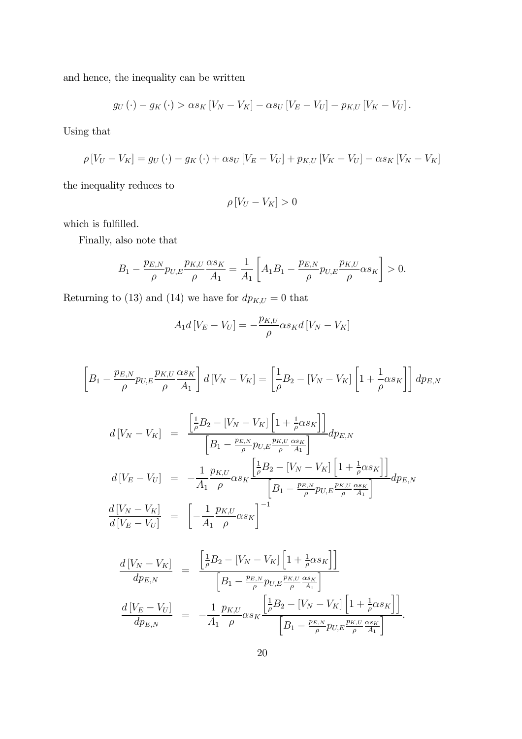and hence, the inequality can be written

$$
g_U(\cdot) - g_K(\cdot) > \alpha s_K \left[ V_N - V_K \right] - \alpha s_U \left[ V_E - V_U \right] - p_{K,U} \left[ V_K - V_U \right].
$$

Using that

$$
\rho \left[ V_U - V_K \right] = g_U \left( \cdot \right) - g_K \left( \cdot \right) + \alpha s_U \left[ V_E - V_U \right] + p_{K,U} \left[ V_K - V_U \right] - \alpha s_K \left[ V_N - V_K \right]
$$

the inequality reduces to

$$
\rho\left[V_U - V_K\right] > 0
$$

which is fulfilled.

Finally, also note that

$$
B_1 - \frac{p_{E,N}}{\rho} p_{U,E} \frac{p_{K,U}}{\rho} \frac{\alpha s_K}{A_1} = \frac{1}{A_1} \left[ A_1 B_1 - \frac{p_{E,N}}{\rho} p_{U,E} \frac{p_{K,U}}{\rho} \alpha s_K \right] > 0.
$$

Returning to (13) and (14) we have for  $dp_{K,U}=0$  that

$$
A_1 d\left[V_E - V_U\right] = -\frac{p_{K,U}}{\rho} \alpha s_K d\left[V_N - V_K\right]
$$

$$
\left[B_1 - \frac{p_{E,N}}{\rho} p_{U,E} \frac{p_{K,U}}{\rho} \frac{\alpha s_K}{A_1}\right] d\left[V_N - V_K\right] = \left[\frac{1}{\rho} B_2 - \left[V_N - V_K\right] \left[1 + \frac{1}{\rho} \alpha s_K\right]\right] dp_{E,N}
$$

$$
d[V_N - V_K] = \frac{\left[\frac{1}{\rho}B_2 - [V_N - V_K]\left[1 + \frac{1}{\rho}\alpha s_K\right]\right]}{\left[B_1 - \frac{p_{E,N}}{\rho}p_{U,E}\frac{p_{K,U}}{\rho}\frac{\alpha s_K}{A_1}\right]}dp_{E,N}
$$
  

$$
d[V_E - V_U] = -\frac{1}{A_1} \frac{p_{K,U}}{\rho} \alpha s_K \frac{\left[\frac{1}{\rho}B_2 - [V_N - V_K]\left[1 + \frac{1}{\rho}\alpha s_K\right]\right]}{\left[B_1 - \frac{p_{E,N}}{\rho}p_{U,E}\frac{p_{K,U}}{\rho}\frac{\alpha s_K}{A_1}\right]}dp_{E,N}
$$
  

$$
\frac{d[V_N - V_K]}{d[V_E - V_U]} = \left[-\frac{1}{A_1} \frac{p_{K,U}}{\rho} \alpha s_K\right]^{-1}
$$

$$
\frac{d[V_N - V_K]}{dp_{E,N}} = \frac{\left[\frac{1}{\rho}B_2 - [V_N - V_K]\left[1 + \frac{1}{\rho}\alpha s_K\right]\right]}{\left[B_1 - \frac{p_{E,N}}{\rho}p_{U,E}\frac{p_{K,U}}{\rho}\frac{\alpha s_K}{A_1}\right]}
$$

$$
\frac{d[V_E - V_U]}{dp_{E,N}} = -\frac{1}{A_1}\frac{p_{K,U}}{\rho}\alpha s_K \frac{\left[\frac{1}{\rho}B_2 - [V_N - V_K]\left[1 + \frac{1}{\rho}\alpha s_K\right]\right]}{\left[B_1 - \frac{p_{E,N}}{\rho}p_{U,E}\frac{p_{K,U}}{\rho}\frac{\alpha s_K}{A_1}\right]}.
$$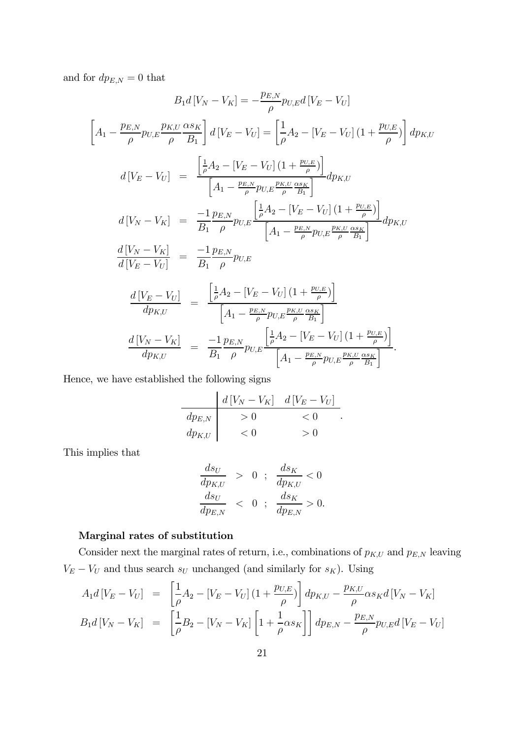and for  $dp_{E,N}=0$  that

$$
B_{1}d[V_{N} - V_{K}] = -\frac{p_{E,N}}{\rho} p_{U,E}d[V_{E} - V_{U}]
$$
\n
$$
\left[A_{1} - \frac{p_{E,N}}{\rho} p_{U,E} \frac{p_{K,U}}{\rho} \frac{\alpha s_{K}}{\beta} \right] d[V_{E} - V_{U}] = \left[\frac{1}{\rho} A_{2} - [V_{E} - V_{U}] (1 + \frac{p_{U,E}}{\rho}) \right] dp_{K,U}
$$
\n
$$
d[V_{E} - V_{U}] = \frac{\left[\frac{1}{\rho} A_{2} - [V_{E} - V_{U}] (1 + \frac{p_{U,E}}{\rho}) \right]}{\left[A_{1} - \frac{p_{E,N}}{\rho} p_{U,E} \frac{p_{K,U}}{\rho} \frac{\alpha s_{K}}{\beta} \right]} dp_{K,U}
$$
\n
$$
d[V_{N} - V_{K}] = \frac{-1}{B_{1}} \frac{p_{E,N}}{\rho} p_{U,E} \frac{\left[\frac{1}{\rho} A_{2} - [V_{E} - V_{U}] (1 + \frac{p_{U,E}}{\rho}) \right]}{\left[A_{1} - \frac{p_{E,N}}{\rho} p_{U,E} \frac{p_{K,U}}{\rho} \frac{\alpha s_{K}}{\beta} \right]} dp_{K,U}
$$
\n
$$
\frac{d[V_{N} - V_{K}]}{d[V_{E} - V_{U}]} = \frac{-1}{B_{1}} \frac{p_{E,N}}{\rho} p_{U,E} p_{U,E} \frac{p_{K,U}}{\rho} \frac{\alpha s_{K}}{\beta} }{\left[A_{1} - \frac{p_{E,N}}{\rho} p_{U,E} \frac{p_{K,U}}{\rho} \frac{\alpha s_{K}}{\beta} \right]}
$$
\n
$$
\frac{d[V_{N} - V_{K}]}{dp_{K,U}} = \frac{-1}{B_{1}} \frac{p_{E,N}}{\rho} p_{U,E} \frac{p_{K,U}}{\rho} \frac{\alpha s_{K}}{\rho} p_{U,E} \frac{p_{K,U}}{\rho} \frac{\alpha s_{K}}{\beta} }{\left[A_{1} - \frac{p_{E,N}}{\rho} p_{U,E} \frac{p_{K,U}}{\rho} \frac{\alpha s_{K}}{\beta} \right]}.
$$

Hence, we have established the following signs

$$
\begin{array}{c|c}\n & d[V_N - V_K] & d[V_E - V_U] \\
\hline\ndp_{E,N} & & & & & & & & \\
dp_{K,U} & & & & & & & & \\
\hline\n & & & & & & & & & & \\
d p_{K,U} & & & & & & & & & & & \\
\end{array}
$$

This implies that

$$
\frac{ds_U}{dp_{K,U}} > 0; \frac{ds_K}{dp_{K,U}} < 0
$$
  

$$
\frac{ds_U}{dp_{E,N}} < 0; \frac{ds_K}{dp_{E,N}} > 0.
$$

#### Marginal rates of substitution

Consider next the marginal rates of return, i.e., combinations of  $p_{K,U}$  and  $p_{E,N}$  leaving  $V_E - V_U$  and thus search  $s_U$  unchanged (and similarly for  $s_K$ ). Using

$$
A_1 d \left[ V_E - V_U \right] = \left[ \frac{1}{\rho} A_2 - \left[ V_E - V_U \right] \left( 1 + \frac{p_{U,E}}{\rho} \right) \right] dp_{K,U} - \frac{p_{K,U}}{\rho} \alpha s_K d \left[ V_N - V_K \right]
$$
  
\n
$$
B_1 d \left[ V_N - V_K \right] = \left[ \frac{1}{\rho} B_2 - \left[ V_N - V_K \right] \left[ 1 + \frac{1}{\rho} \alpha s_K \right] \right] dp_{E,N} - \frac{p_{E,N}}{\rho} p_{U,E} d \left[ V_E - V_U \right]
$$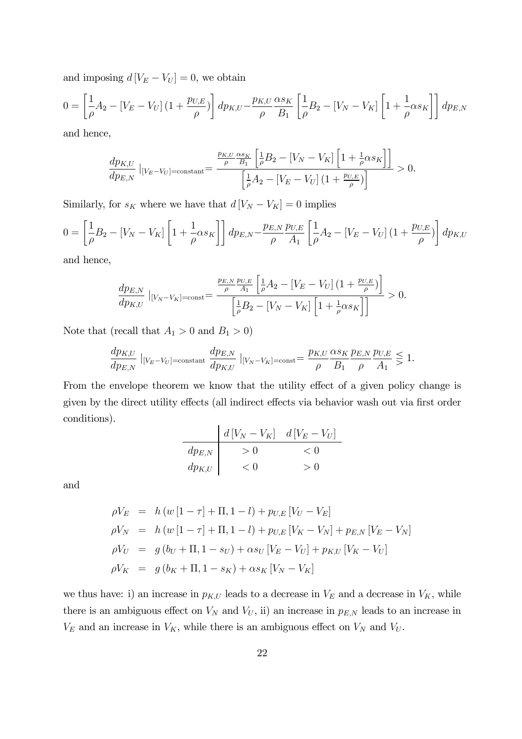and imposing  $d[V_E - V_U] = 0$ , we obtain

$$
0 = \left[\frac{1}{\rho}A_2 - [V_E - V_U](1 + \frac{p_{U,E}}{\rho})\right]dp_{K,U} - \frac{p_{K,U}}{\rho}\frac{\alpha s_K}{B_1}\left[\frac{1}{\rho}B_2 - [V_N - V_K]\left[1 + \frac{1}{\rho}\alpha s_K\right]\right]dp_{E,N}
$$

and hence,

$$
\frac{dp_{K,U}}{dp_{E,N}}\left|_{[V_E-V_U]=\text{constant}}\right| = \frac{\frac{p_{K,U}}{\rho}\frac{\alpha s_K}{B_1}\left[\frac{1}{\rho}B_2 - [V_N - V_K]\left[1 + \frac{1}{\rho}\alpha s_K\right]\right]}{\left[\frac{1}{\rho}A_2 - [V_E-V_U]\left(1 + \frac{p_{U,E}}{\rho}\right)\right]} > 0.
$$

Similarly, for  $s_K$  where we have that  $d[V_N - V_K] = 0$  implies

$$
0 = \left[\frac{1}{\rho}B_2 - [V_N - V_K]\left[1 + \frac{1}{\rho}\alpha s_K\right]\right]dp_{E,N} - \frac{p_{E,N}}{\rho}\frac{p_{U,E}}{A_1}\left[\frac{1}{\rho}A_2 - [V_E - V_U]\left(1 + \frac{p_{U,E}}{\rho}\right)\right]dp_{K,U}
$$

and hence,

$$
\frac{dp_{E,N}}{dp_{K,U}}\|_{[V_N - V_K] = \text{const}} = \frac{\frac{p_{E,N}}{\rho} \frac{p_{U,E}}{A_1} \left[ \frac{1}{\rho} A_2 - \left[ V_E - V_U \right] \left( 1 + \frac{p_{U,E}}{\rho} \right) \right]}{\left[ \frac{1}{\rho} B_2 - \left[ V_N - V_K \right] \left[ 1 + \frac{1}{\rho} \alpha s_K \right] \right]} > 0.
$$

Note that (recall that  $A_1 > 0$  and  $B_1 > 0$ )

$$
\frac{dp_{K,U}}{dp_{E,N}}\mid_{[V_E-V_U]=\text{constant}}\frac{dp_{E,N}}{dp_{K,U}}\mid_{[V_N-V_K]=\text{const}}=\frac{p_{K,U}}{\rho}\frac{\alpha s_K}{B_1}\frac{p_{E,N}}{\rho}\frac{p_{U,E}}{A_1}\leq 1.
$$

From the envelope theorem we know that the utility effect of a given policy change is given by the direct utility effects (all indirect effects via behavior wash out via first order conditions).

d [V<sup>N</sup> − VK] d [V<sup>E</sup> − V<sup>U</sup> ] dpE,N > 0 < 0 dpK,U < 0 > 0

and

$$
\rho V_E = h (w [1 - \tau] + \Pi, 1 - l) + p_{U,E} [V_U - V_E]
$$
  
\n
$$
\rho V_N = h (w [1 - \tau] + \Pi, 1 - l) + p_{U,E} [V_K - V_N] + p_{E,N} [V_E - V_N]
$$
  
\n
$$
\rho V_U = g (b_U + \Pi, 1 - s_U) + \alpha s_U [V_E - V_U] + p_{K,U} [V_K - V_U]
$$
  
\n
$$
\rho V_K = g (b_K + \Pi, 1 - s_K) + \alpha s_K [V_N - V_K]
$$

we thus have: i) an increase in  $p_{K,U}$  leads to a decrease in  $V_E$  and a decrease in  $V_K$ , while there is an ambiguous effect on  $V_N$  and  $V_U$ , ii) an increase in  $p_{E,N}$  leads to an increase in  $V_E$  and an increase in  $V_K$ , while there is an ambiguous effect on  $V_N$  and  $V_U$ .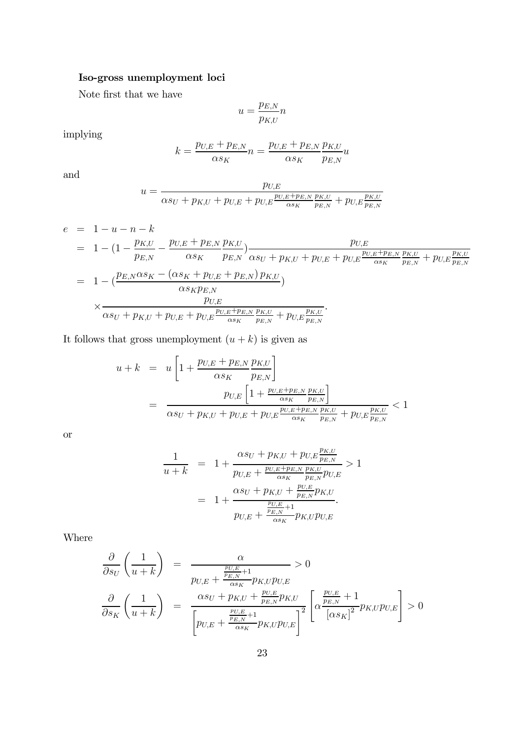### Iso-gross unemployment loci

Note first that we have

$$
u = \frac{p_{E,N}}{p_{K,U}} n
$$

implying

$$
k = \frac{p_{U,E} + p_{E,N}}{\alpha s_K} n = \frac{p_{U,E} + p_{E,N}}{\alpha s_K} \frac{p_{K,U}}{p_{E,N}} u
$$

and

$$
u = \frac{p_{U,E}}{\alpha s_U + p_{K,U} + p_{U,E} + p_{U,E} \frac{p_{U,E} + p_{E,N}}{\alpha s_K} \frac{p_{K,U}}{p_{E,N}} + p_{U,E} \frac{p_{K,U}}{p_{E,N}}}
$$

$$
e = 1 - u - n - k
$$
  
\n
$$
= 1 - (1 - \frac{p_{K,U}}{p_{E,N}} - \frac{p_{U,E} + p_{E,N}}{\alpha s_K} \frac{p_{K,U}}{p_{E,N}}) \frac{p_{U,E}}{\alpha s_U + p_{K,U} + p_{U,E} + p_{U,E} \frac{p_{U,E} + p_{E,N}}{\alpha s_K} \frac{p_{K,U}}{p_{E,N}} + p_{U,E} \frac{p_{K,U}}{p_{E,N}})}{p_{E,N}}
$$
  
\n
$$
= 1 - (\frac{p_{E,N}\alpha s_K - (\alpha s_K + p_{U,E} + p_{E,N}) p_{K,U}}{\alpha s_K p_{E,N}}) \times \frac{p_{U,E}}{\alpha s_U + p_{K,U} + p_{U,E} \frac{p_{U,E} + p_{E,N}}{\alpha s_K} \frac{p_{K,U}}{p_{E,N}} + p_{U,E} \frac{p_{K,U}}{p_{E,N}}}.
$$

It follows that gross unemployment  $(u + k)$  is given as

$$
u + k = u \left[ 1 + \frac{p_{U,E} + p_{E,N}}{\alpha s_K} \frac{p_{K,U}}{p_{E,N}} \right]
$$
  
= 
$$
\frac{p_{U,E} \left[ 1 + \frac{p_{U,E} + p_{E,N}}{\alpha s_K} \frac{p_{K,U}}{p_{E,N}} \right]}{\alpha s_U + p_{K,U} + p_{U,E} + p_{U,E} \frac{p_{U,E} + p_{E,N}}{\alpha s_K} \frac{p_{K,U}}{p_{E,N}} + p_{U,E} \frac{p_{K,U}}{p_{E,N}}} < 1
$$

or

$$
\frac{1}{u+k} = 1 + \frac{\alpha s_U + p_{K,U} + p_{U,E} \frac{p_{K,U}}{p_{E,N}}}{p_{U,E} + \frac{p_{U,E} + p_{E,N}}{\alpha s_K} \frac{p_{K,U}}{p_{E,N}} p_{U,E}} > 1
$$
\n
$$
= 1 + \frac{\alpha s_U + p_{K,U} + \frac{p_{U,E}}{p_{E,N}} p_{K,U}}{p_{U,E} + \frac{p_{U,E}}{\alpha s_K} p_{K,U} p_{U,E}}.
$$

Where

$$
\frac{\partial}{\partial s_U} \left( \frac{1}{u+k} \right) = \frac{\alpha}{p_{U,E} + \frac{p_{U,E}}{\alpha s_K} + 1} > 0
$$
\n
$$
\frac{\partial}{\partial s_K} \left( \frac{1}{u+k} \right) = \frac{\alpha s_U + p_{K,U} + \frac{p_{U,E}}{p_{E,N}} p_{K,U}}{\left[ p_{U,E} + \frac{p_{U,E}}{\alpha s_K} + 1} p_{K,U} p_{U,E} \right]^2} \left[ \alpha \frac{\frac{p_{U,E}}{p_{E,N}} + 1}{\left[ \alpha s_K \right]^2} p_{K,U} p_{U,E} \right] > 0
$$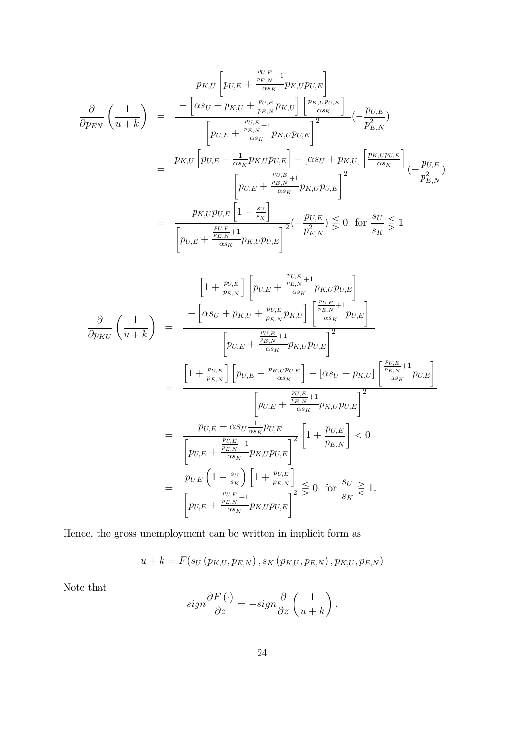$$
p_{K,U}\left[p_{U,E} + \frac{\frac{p_{U,E}}{p_{E,N}} + 1}{\alpha s_K} p_{K,U} p_{U,E}\right]
$$

$$
\frac{\partial}{\partial p_{EN}}\left(\frac{1}{u+k}\right) = \frac{-\left[\alpha s_U + p_{K,U} + \frac{p_{U,E}}{p_{E,N}} p_{K,U}\right] \left[\frac{p_{K,U} p_{U,E}}{\alpha s_K}\right]}{\left[p_{U,E} + \frac{\frac{p_{U,E}}{p_{E,N}} + 1}{\alpha s_K} p_{K,U} p_{U,E}\right]^2} \left(-\frac{p_{U,E}}{p_{E,N}^2}\right]
$$

$$
= \frac{p_{K,U}\left[p_{U,E} + \frac{1}{\alpha s_K} p_{K,U} p_{U,E}\right] - \left[\alpha s_U + p_{K,U}\right] \left[\frac{p_{K,U} p_{U,E}}{\alpha s_K}\right]}{\left[p_{U,E} + \frac{\frac{p_{U,E}}{p_{E,N}} + 1}{\alpha s_K} p_{K,U} p_{U,E}\right]^2} \left(-\frac{p_{U,E}}{p_{E,N}^2}\right)
$$

$$
= \frac{p_{K,U} p_{U,E}\left[1 - \frac{s_U}{s_K}\right]}{\left[p_{U,E} + \frac{\frac{p_{U,E}}{p_{E,N}} + 1}{\alpha s_K} p_{K,U} p_{U,E}\right]^2} \left(-\frac{p_{U,E}}{p_{E,N}^2}\right) \lesssim 0 \text{ for } \frac{s_U}{s_K} \lesssim 1
$$

$$
\left[1 + \frac{p_{U,E}}{p_{E,N}}\right] \left[p_{U,E} + \frac{\frac{p_{U,E}}{p_{E,N}} + 1}{\alpha s_K} p_{K,U} p_{U,E}\right]
$$
\n
$$
\frac{\partial}{\partial p_{KU}} \left(\frac{1}{u+k}\right) = \frac{-\left[\alpha s_U + p_{K,U} + \frac{p_{U,E}}{p_{E,N}} p_{K,U}\right] \left[\frac{\frac{p_{U,E}}{p_{E,N}} + 1}{\alpha s_K} p_{U,E}\right]}{\left[p_{U,E} + \frac{\frac{p_{U,E}}{\alpha s_K} + 1}{\alpha s_K} p_{K,U} p_{U,E}\right]^2}
$$
\n
$$
= \frac{\left[1 + \frac{p_{U,E}}{p_{E,N}}\right] \left[p_{U,E} + \frac{p_{K,U} p_{U,E}}{\alpha s_K}\right] - \left[\alpha s_U + p_{K,U}\right] \left[\frac{\frac{p_{U,E}}{p_{E,N}} + 1}{\alpha s_K} p_{U,E}\right]}{\left[p_{U,E} + \frac{\frac{p_{U,E}}{\alpha s_K} + 1}{\alpha s_K} p_{K,U} p_{U,E}\right]^2}
$$
\n
$$
= \frac{p_{U,E} - \alpha s_U \frac{1}{\alpha s_K} p_{U,E}}{\left[p_{U,E} + \frac{\frac{p_{U,E}}{\alpha s_K} + 1}{\alpha s_K} p_{K,U} p_{U,E}\right]^2} \left[1 + \frac{p_{U,E}}{p_{E,N}}\right] < 0
$$
\n
$$
= \frac{p_{U,E} \left(1 - \frac{s_U}{s_K}\right) \left[1 + \frac{p_{U,E}}{p_{E,N}}\right]}{\left[p_{U,E} + \frac{\frac{p_{U,E}}{\alpha s_K} + 1}{\alpha s_K} p_{K,U} p_{U,E}\right]^2} \leq 0 \text{ for } \frac{s_U}{s_K} \geq 1.
$$

Hence, the gross unemployment can be written in implicit form as

$$
u + k = F(s_U(p_{K,U}, p_{E,N}), s_K(p_{K,U}, p_{E,N}), p_{K,U}, p_{E,N})
$$

Note that

$$
sign\frac{\partial F\left(\cdot\right)}{\partial z}=-sign\frac{\partial}{\partial z}\left(\frac{1}{u+k}\right).
$$